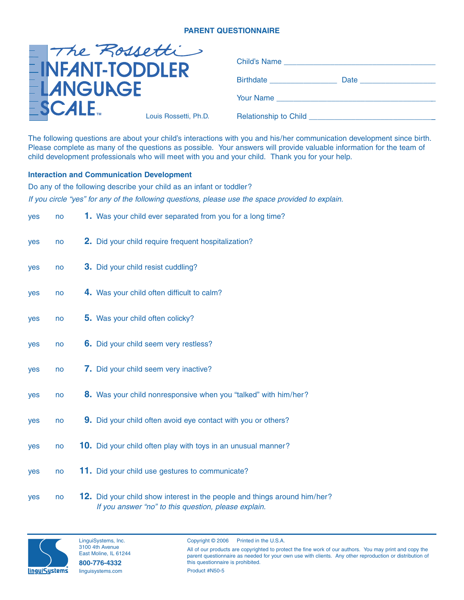# **PARENT QUESTIONNAIRE**

| - The Rossetti                             |                       | Child's Name <b>Example 2018</b>    |  |
|--------------------------------------------|-----------------------|-------------------------------------|--|
| <b>EINFANT-TODDLER</b><br><b>ELANGUAGE</b> |                       | <b>Birthdate Example 19</b><br>Date |  |
|                                            |                       | Your Name                           |  |
| $\mathsf{ESCALE}_{\mathsf{m}}$             | Louis Rossetti, Ph.D. | Relationship to Child _____         |  |

The following questions are about your child's interactions with you and his/her communication development since birth. Please complete as many of the questions as possible. Your answers will provide valuable information for the team of child development professionals who will meet with you and your child. Thank you for your help.

## **Interaction and Communication Development**

Do any of the following describe your child as an infant or toddler? If you circle "yes" for any of the following questions, please use the space provided to explain.

| yes | no | <b>1.</b> Was your child ever separated from you for a long time?         |
|-----|----|---------------------------------------------------------------------------|
| yes | no | 2. Did your child require frequent hospitalization?                       |
| yes | no | <b>3.</b> Did your child resist cuddling?                                 |
| yes | no | 4. Was your child often difficult to calm?                                |
| yes | no | 5. Was your child often colicky?                                          |
| yes | no | 6. Did your child seem very restless?                                     |
| yes | no | 7. Did your child seem very inactive?                                     |
| yes | no | 8. Was your child nonresponsive when you "talked" with him/her?           |
| yes | no | 9. Did your child often avoid eye contact with you or others?             |
| yes | no | <b>10.</b> Did your child often play with toys in an unusual manner?      |
| yes | no | 11. Did your child use gestures to communicate?                           |
| yes | no | 12. Did your child show interest in the people and things around him/her? |





#### Copyright © 2006 Printed in the U.S.A.

All of our products are copyrighted to protect the fine work of our authors. You may print and copy the parent questionnaire as needed for your own use with clients. Any other reproduction or distribution of this questionnaire is prohibited. Product #N50-5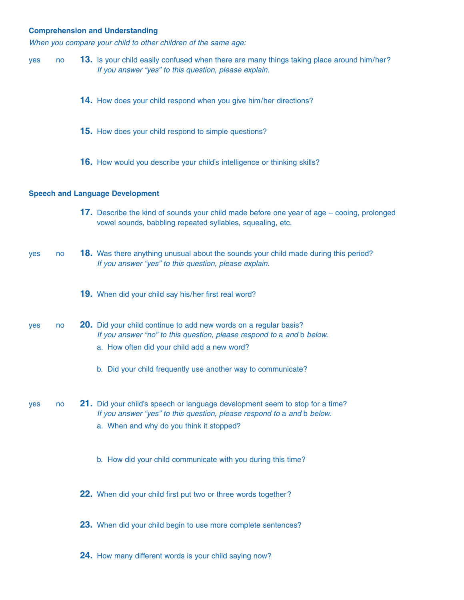### **Comprehension and Understanding**

When you compare your child to other children of the same age:

- yes no **13.** Is your child easily confused when there are many things taking place around him/her? If you answer "yes" to this question, please explain.
	- **14.** How does your child respond when you give him/her directions?
	- **15.** How does your child respond to simple questions?
	- **16.** How would you describe your child's intelligence or thinking skills?

#### **Speech and Language Development**

- **17.** Describe the kind of sounds your child made before one year of age cooing, prolonged vowel sounds, babbling repeated syllables, squealing, etc.
- yes no **18.** Was there anything unusual about the sounds your child made during this period? If you answer "yes" to this question, please explain.
	- **19.** When did your child say his/her first real word?
- yes no **20.** Did your child continue to add new words on a regular basis? If you answer "no" to this question, please respond to a and b below.
	- a. How often did your child add a new word?
	- b. Did your child frequently use another way to communicate?
- yes no **21.** Did your child's speech or language development seem to stop for a time? If you answer "yes" to this question, please respond to a and b below.
	- a. When and why do you think it stopped?
	- b. How did your child communicate with you during this time?
	- **22.** When did your child first put two or three words together?
	- **23.** When did your child begin to use more complete sentences?
	- **24.** How many different words is your child saying now?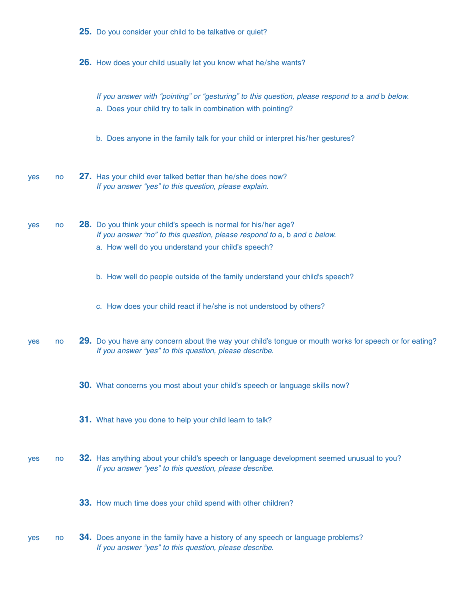|     |    | 25. Do you consider your child to be talkative or quiet?                                                                                                                                          |
|-----|----|---------------------------------------------------------------------------------------------------------------------------------------------------------------------------------------------------|
|     |    | 26. How does your child usually let you know what he/she wants?                                                                                                                                   |
|     |    | If you answer with "pointing" or "gesturing" to this question, please respond to a and b below.<br>a. Does your child try to talk in combination with pointing?                                   |
|     |    | b. Does anyone in the family talk for your child or interpret his/her gestures?                                                                                                                   |
| yes | no | 27. Has your child ever talked better than he/she does now?<br>If you answer "yes" to this question, please explain.                                                                              |
| yes | no | 28. Do you think your child's speech is normal for his/her age?<br>If you answer "no" to this question, please respond to a, b and c below.<br>a. How well do you understand your child's speech? |
|     |    | b. How well do people outside of the family understand your child's speech?                                                                                                                       |
|     |    | c. How does your child react if he/she is not understood by others?                                                                                                                               |
| yes | no | 29. Do you have any concern about the way your child's tongue or mouth works for speech or for eating?<br>If you answer "yes" to this question, please describe.                                  |
|     |    | 30. What concerns you most about your child's speech or language skills now?                                                                                                                      |
|     |    | 31. What have you done to help your child learn to talk?                                                                                                                                          |
| yes | no | 32. Has anything about your child's speech or language development seemed unusual to you?<br>If you answer "yes" to this question, please describe.                                               |
|     |    | 33. How much time does your child spend with other children?                                                                                                                                      |
| yes | no | <b>34.</b> Does anyone in the family have a history of any speech or language problems?<br>If you answer "yes" to this question, please describe.                                                 |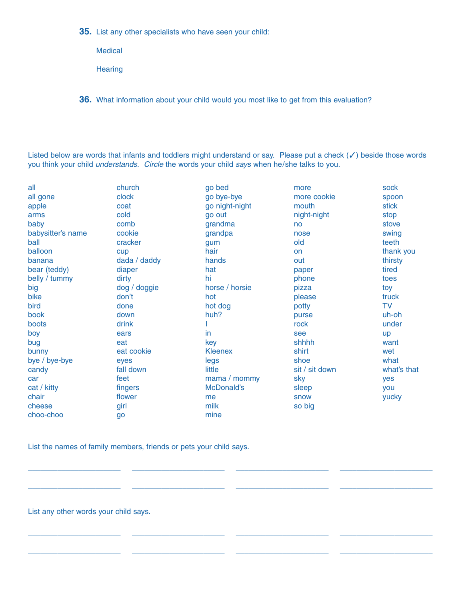**35.** List any other specialists who have seen your child:

**Medical** 

**Hearing** 

**36.** What information about your child would you most like to get from this evaluation?

Listed below are words that infants and toddlers might understand or say. Please put a check (✓) beside those words you think your child understands. Circle the words your child says when he/she talks to you.

| all               | church       | go bed         | more           | sock        |
|-------------------|--------------|----------------|----------------|-------------|
| all gone          | clock        | go bye-bye     | more cookie    | spoon       |
| apple             | coat         | go night-night | mouth          | stick       |
| arms              | cold         | go out         | night-night    | stop        |
| baby              | comb         | grandma        | no             | stove       |
| babysitter's name | cookie       | grandpa        | nose           | swing       |
| ball              | cracker      | gum            | old            | teeth       |
| balloon           | cup          | hair           | on             | thank you   |
| banana            | dada / daddy | hands          | out            | thirsty     |
| bear (teddy)      | diaper       | hat            | paper          | tired       |
| belly / tummy     | dirty        | hi             | phone          | toes        |
| big               | dog / doggie | horse / horsie | pizza          | toy         |
| bike              | don't        | hot            | please         | truck       |
| bird              | done         | hot dog        | potty          | <b>TV</b>   |
| book              | down         | huh?           | purse          | uh-oh       |
| boots             | drink        |                | rock           | under       |
| boy               | ears         | in             | see            | up          |
| bug               | eat          | key            | shhhh          | want        |
| bunny             | eat cookie   | <b>Kleenex</b> | shirt          | wet         |
| bye / bye-bye     | eyes         | legs           | shoe           | what        |
| candy             | fall down    | little         | sit / sit down | what's that |
| car               | feet         | mama / mommy   | sky            | yes         |
| cat / kitty       | fingers      | McDonald's     | sleep          | you         |
| chair             | flower       | me             | snow           | yucky       |
| cheese            | girl         | milk           | so big         |             |
| choo-choo         | go           | mine           |                |             |
|                   |              |                |                |             |

\_\_\_\_\_\_\_\_\_\_\_\_\_\_\_\_\_\_\_\_\_\_

\_\_\_\_\_\_\_\_\_\_\_\_\_\_\_\_\_\_\_\_\_\_

\_\_\_\_\_\_\_\_\_\_\_\_\_\_\_\_\_\_\_\_\_\_

\_\_\_\_\_\_\_\_\_\_\_\_\_\_\_\_\_\_\_\_\_\_

\_\_\_\_\_\_\_\_\_\_\_\_\_\_\_\_\_\_\_\_\_\_

\_\_\_\_\_\_\_\_\_\_\_\_\_\_\_\_\_\_\_\_\_\_

\_\_\_\_\_\_\_\_\_\_\_\_\_\_\_\_\_\_\_\_\_\_

\_\_\_\_\_\_\_\_\_\_\_\_\_\_\_\_\_\_\_\_\_\_

List the names of family members, friends or pets your child says.

\_\_\_\_\_\_\_\_\_\_\_\_\_\_\_\_\_\_\_\_\_\_

\_\_\_\_\_\_\_\_\_\_\_\_\_\_\_\_\_\_\_\_\_\_

\_\_\_\_\_\_\_\_\_\_\_\_\_\_\_\_\_\_\_\_\_\_

\_\_\_\_\_\_\_\_\_\_\_\_\_\_\_\_\_\_\_\_\_\_

List any other words your child says.

\_\_\_\_\_\_\_\_\_\_\_\_\_\_\_\_\_\_\_\_\_\_

\_\_\_\_\_\_\_\_\_\_\_\_\_\_\_\_\_\_\_\_\_\_

\_\_\_\_\_\_\_\_\_\_\_\_\_\_\_\_\_\_\_\_\_\_

\_\_\_\_\_\_\_\_\_\_\_\_\_\_\_\_\_\_\_\_\_\_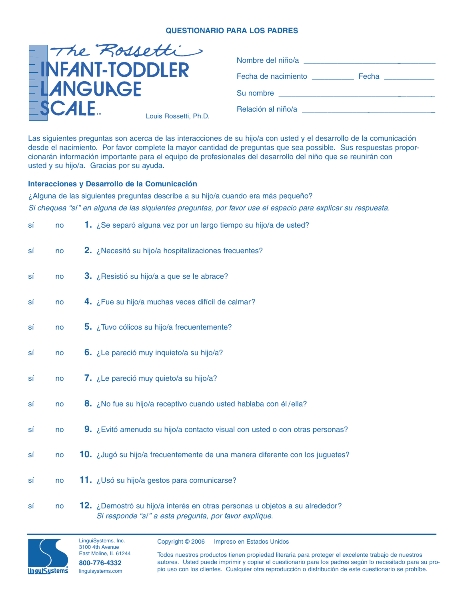# **QUESTIONARIO PARA LOS PADRES**

|                                            | - The Rossetti        |                     | Nombre del niño/a |  |  |  |
|--------------------------------------------|-----------------------|---------------------|-------------------|--|--|--|
| <b>EINFANT-TODDLER</b><br><b>ELANGUAGE</b> |                       | Fecha de nacimiento | Fecha             |  |  |  |
|                                            |                       | Su nombre           |                   |  |  |  |
| $\S$ CALE                                  | Louis Rossetti, Ph.D. | Relación al niño/a  |                   |  |  |  |

Las siguientes preguntas son acerca de las interacciones de su hijo/a con usted y el desarrollo de la comunicación desde el nacimiento. Por favor complete la mayor cantidad de preguntas que sea possible. Sus respuestas proporcionarán información importante para el equipo de profesionales del desarrollo del niño que se reunirán con usted y su hijo/a. Gracias por su ayuda.

# **Interacciones y Desarrollo de la Comunicación**

¿Alguna de las siguientes preguntas describe a su hijo/a cuando era más pequeño? Si chequea "sí" en alguna de las siquientes preguntas, por favor use el espacio para explicar su respuesta.

| sí | no | 1. ¿Se separó alguna vez por un largo tiempo su hijo/a de usted?                                                                     |
|----|----|--------------------------------------------------------------------------------------------------------------------------------------|
| sí | no | 2. ¿Necesitó su hijo/a hospitalizaciones frecuentes?                                                                                 |
| SÍ | no | 3. ¿Resistió su hijo/a a que se le abrace?                                                                                           |
| sí | no | 4. ¿Fue su hijo/a muchas veces difícil de calmar?                                                                                    |
| sí | no | 5. ¿Tuvo cólicos su hijo/a frecuentemente?                                                                                           |
| SÍ | no | 6. ¿Le pareció muy inquieto/a su hijo/a?                                                                                             |
| sí | no | 7. ¿Le pareció muy quieto/a su hijo/a?                                                                                               |
| sí | no | 8. ¿No fue su hijo/a receptivo cuando usted hablaba con él/ella?                                                                     |
| SÍ | no | 9. ¿Evitó amenudo su hijo/a contacto visual con usted o con otras personas?                                                          |
| sí | no | 10. ¿Jugó su hijo/a frecuentemente de una manera diferente con los juguetes?                                                         |
| sí | no | 11. ¿Usó su hijo/a gestos para comunicarse?                                                                                          |
| sí | no | 12. ¿Demostró su hijo/a interés en otras personas u objetos a su alrededor?<br>Si responde "sí" a esta pregunta, por favor explíque. |



LinguiSystems, Inc. 3100 4th Avenue East Moline, IL 61244 **800-776-4332** linguisystems.com

Copyright © 2006 Impreso en Estados Unidos

Todos nuestros productos tienen propiedad literaria para proteger el excelente trabajo de nuestros autores. Usted puede imprimir y copiar el cuestionario para los padres según lo necesitado para su propio uso con los clientes. Cualquier otra reproducción o distribución de este cuestionario se prohíbe.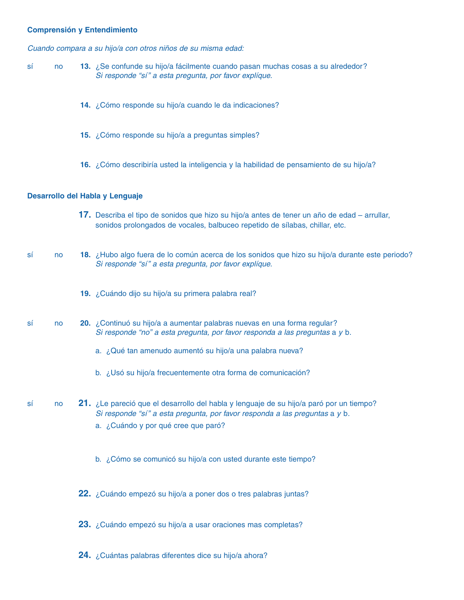### **Comprensión y Entendimiento**

Cuando compara a su hijo/a con otros niños de su misma edad:

- sí no **13.** ¿Se confunde su hijo/a fácilmente cuando pasan muchas cosas a su alrededor? Si responde "sí" a esta pregunta, por favor explíque.
	- **14.** ¿Cómo responde su hijo/a cuando le da indicaciones?
	- **15.** ¿Cómo responde su hijo/a a preguntas simples?
	- **16.** ¿Cómo describiría usted la inteligencia y la habilidad de pensamiento de su hijo/a?

### **Desarrollo del Habla y Lenguaje**

- **17.** Describa el tipo de sonidos que hizo su hijo/a antes de tener un año de edad arrullar, sonidos prolongados de vocales, balbuceo repetido de sílabas, chillar, etc.
- sí no **18.** ¿Hubo algo fuera de lo común acerca de los sonidos que hizo su hijo/a durante este periodo? Si responde "sí" a esta pregunta, por favor explíque.
	- **19.** ¿Cuándo dijo su hijo/a su primera palabra real?
- sí no **20.** ¿Continuó su hijo/a a aumentar palabras nuevas en una forma regular? Si responde "no" a esta pregunta, por favor responda a las preguntas a y b.
	- a. ¿Qué tan amenudo aumentó su hijo/a una palabra nueva?
	- b. ¿Usó su hijo/a frecuentemente otra forma de comunicación?
- sí no **21.** ¿Le pareció que el desarrollo del habla y lenguaje de su hijo/a paró por un tiempo? Si responde "sí" a esta pregunta, por favor responda a las preguntas a y b.
	- a. ¿Cuándo y por qué cree que paró?
	- b. ¿Cómo se comunicó su hijo/a con usted durante este tiempo?
	- **22.** ¿Cuándo empezó su hijo/a a poner dos o tres palabras juntas?
	- **23.** ¿Cuándo empezó su hijo/a a usar oraciones mas completas?
	- **24.** ¿Cuántas palabras diferentes dice su hijo/a ahora?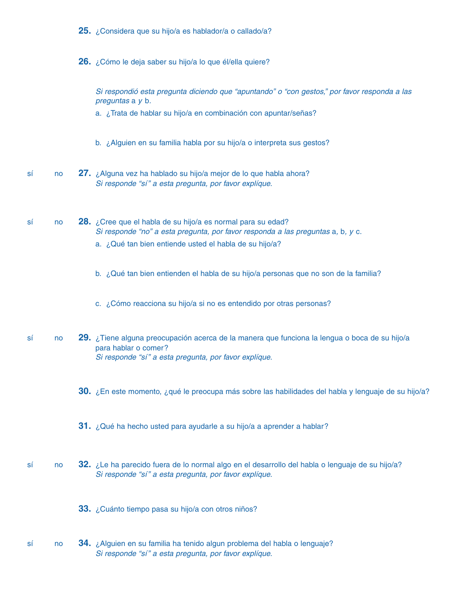|  | 25. ¿Considera que su hijo/a es hablador/a o callado/a? |  |  |  |  |  |  |
|--|---------------------------------------------------------|--|--|--|--|--|--|
|--|---------------------------------------------------------|--|--|--|--|--|--|

**26.** ¿Cómo le deja saber su hijo/a lo que él/ella quiere?

Si respondió esta pregunta diciendo que "apuntando" o "con gestos," por favor responda a las preguntas a y b.

a. ¿Trata de hablar su hijo/a en combinación con apuntar/señas?

b. ¿Alguien en su familia habla por su hijo/a o interpreta sus gestos?

- sí no **27.** ¿Alguna vez ha hablado su hijo/a mejor de lo que habla ahora? Si responde "sí" a esta pregunta, por favor explíque.
- sí no **28.** ¿Cree que el habla de su hijo/a es normal para su edad? Si responde "no" a esta pregunta, por favor responda a las preguntas a, b, y c.
	- a. ¿Qué tan bien entiende usted el habla de su hijo/a?
	- b. ¿Qué tan bien entienden el habla de su hijo/a personas que no son de la familia?
	- c. ¿Cómo reacciona su hijo/a si no es entendido por otras personas?
- sí no **29.** ¿Tiene alguna preocupación acerca de la manera que funciona la lengua o boca de su hijo/a para hablar o comer? Si responde "sí" a esta pregunta, por favor explíque.
	- **30.** ¿En este momento, ¿qué le preocupa más sobre las habilidades del habla y lenguaje de su hijo/a?
	- **31.** ¿Qué ha hecho usted para ayudarle a su hijo/a a aprender a hablar?
- sí no **32.** ¿Le ha parecido fuera de lo normal algo en el desarrollo del habla o lenguaje de su hijo/a? Si responde "sí" a esta pregunta, por favor explíque.
	- **33.** ¿Cuánto tiempo pasa su hijo/a con otros niños?
- sí no **34.** ¿Alguien en su familia ha tenido algun problema del habla o lenguaje? Si responde "sí" a esta pregunta, por favor explíque.